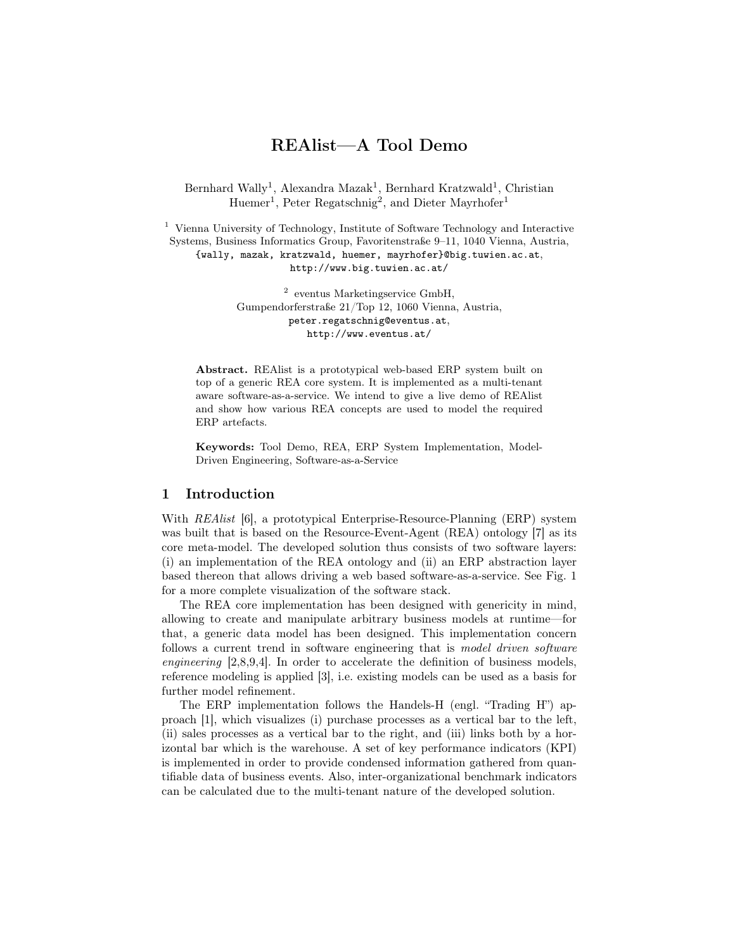# REAlist—A Tool Demo

[Bernhard Wally](http://www.big.tuwien.ac.at/staff/bwally/)<sup>1</sup>, [Alexandra Mazak](http://www.big.tuwien.ac.at/staff/amazak/)<sup>1</sup>, [Bernhard Kratzwald](http://www.big.tuwien.ac.at/staff/bkratzwald/)<sup>1</sup>, [Christian](http://www.big.tuwien.ac.at/staff/chuemer/) [Huemer](http://www.big.tuwien.ac.at/staff/chuemer/)<sup>1</sup>, Peter Regatschnig<sup>2</sup>, and [Dieter Mayrhofer](http://www.big.tuwien.ac.at/staff/dmayrhofer/)<sup>1</sup>

<sup>1</sup> [Vienna University of Technology,](http://www.tuwien.ac.at/) [Institute of Software Technology and Interactive](http://www.isis.tuwien.ac.at/) [Systems,](http://www.isis.tuwien.ac.at/) [Business Informatics Group,](http://www.big.tuwien.ac.at/) Favoritenstraße 9–11, 1040 Vienna, Austria, [{wally, mazak, kratzwald, huemer, mayrhofer}@big.tuwien.ac.at](mailto:wally@big.tuwien.ac.at), <http://www.big.tuwien.ac.at/>

> 2 [eventus Marketingservice GmbH,](http://www.eventus.at/) Gumpendorferstraße 21/Top 12, 1060 Vienna, Austria, [peter.regatschnig@eventus.at](mailto:peter.regatschnig@eventus.at), <http://www.eventus.at/>

Abstract. REAlist is a prototypical web-based ERP system built on top of a generic REA core system. It is implemented as a multi-tenant aware software-as-a-service. We intend to give a live demo of REAlist and show how various REA concepts are used to model the required ERP artefacts.

Keywords: Tool Demo, REA, ERP System Implementation, Model-Driven Engineering, Software-as-a-Service

# 1 Introduction

With *REAlist* [\[6\]](#page-6-0), a prototypical Enterprise-Resource-Planning (ERP) system was built that is based on the Resource-Event-Agent (REA) ontology [\[7\]](#page-6-1) as its core meta-model. The developed solution thus consists of two software layers: (i) an implementation of the REA ontology and (ii) an ERP abstraction layer based thereon that allows driving a web based software-as-a-service. See Fig. [1](#page-1-0) for a more complete visualization of the software stack.

The REA core implementation has been designed with genericity in mind, allowing to create and manipulate arbitrary business models at runtime—for that, a generic data model has been designed. This implementation concern follows a current trend in software engineering that is model driven software engineering [\[2](#page-5-0)[,8,](#page-6-2)[9,](#page-6-3)[4\]](#page-5-1). In order to accelerate the definition of business models, reference modeling is applied [\[3\]](#page-5-2), i.e. existing models can be used as a basis for further model refinement.

The ERP implementation follows the Handels-H (engl. "Trading H") approach [\[1\]](#page-5-3), which visualizes (i) purchase processes as a vertical bar to the left, (ii) sales processes as a vertical bar to the right, and (iii) links both by a horizontal bar which is the warehouse. A set of key performance indicators (KPI) is implemented in order to provide condensed information gathered from quantifiable data of business events. Also, inter-organizational benchmark indicators can be calculated due to the multi-tenant nature of the developed solution.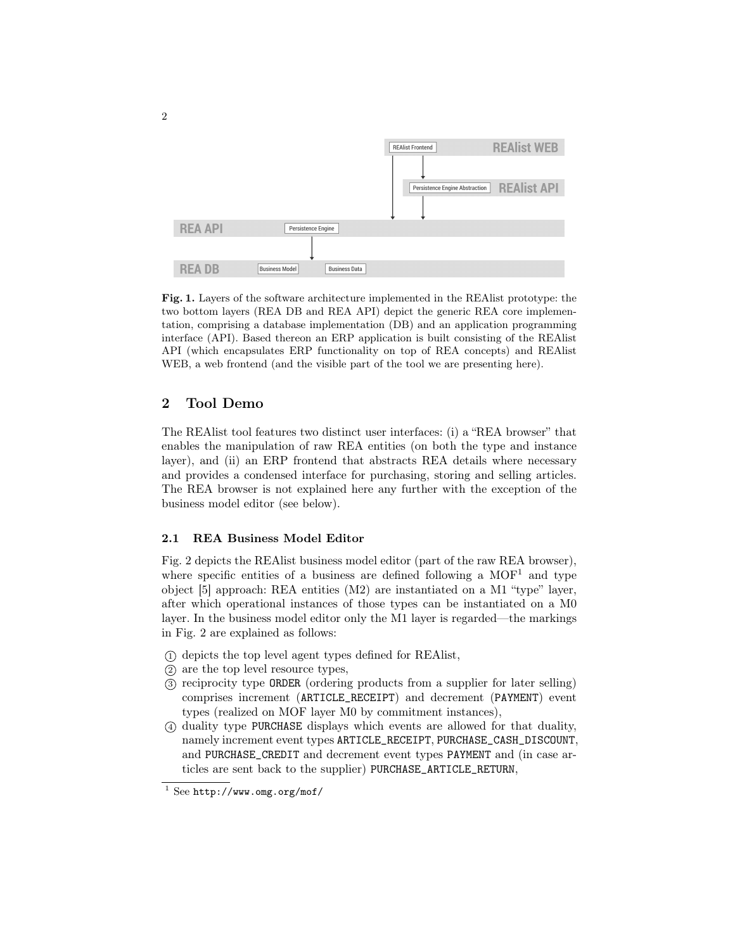

<span id="page-1-0"></span>Fig. 1. Layers of the software architecture implemented in the REAlist prototype: the two bottom layers (REA DB and REA API) depict the generic REA core implementation, comprising a database implementation (DB) and an application programming interface (API). Based thereon an ERP application is built consisting of the REAlist API (which encapsulates ERP functionality on top of REA concepts) and REAlist WEB, a web frontend (and the visible part of the tool we are presenting here).

## 2 Tool Demo

The REAlist tool features two distinct user interfaces: (i) a "REA browser" that enables the manipulation of raw REA entities (on both the type and instance layer), and (ii) an ERP frontend that abstracts REA details where necessary and provides a condensed interface for purchasing, storing and selling articles. The REA browser is not explained here any further with the exception of the business model editor (see below).

#### 2.1 REA Business Model Editor

Fig. [2](#page-2-0) depicts the REAlist business model editor (part of the raw REA browser), where specific entities of a business are defined following a  $MOF<sup>1</sup>$  $MOF<sup>1</sup>$  $MOF<sup>1</sup>$  and type object [\[5\]](#page-6-4) approach: REA entities (M2) are instantiated on a M1 "type" layer, after which operational instances of those types can be instantiated on a M0 layer. In the business model editor only the M1 layer is regarded—the markings in Fig. [2](#page-2-0) are explained as follows:

- <sup>1</sup> depicts the top level agent types defined for REAlist,
- <sup>2</sup> are the top level resource types,
- <sup>3</sup> reciprocity type ORDER (ordering products from a supplier for later selling) comprises increment (ARTICLE\_RECEIPT) and decrement (PAYMENT) event types (realized on MOF layer M0 by commitment instances),
- <sup>4</sup> duality type PURCHASE displays which events are allowed for that duality, namely increment event types ARTICLE\_RECEIPT, PURCHASE\_CASH\_DISCOUNT, and PURCHASE\_CREDIT and decrement event types PAYMENT and (in case articles are sent back to the supplier) PURCHASE\_ARTICLE\_RETURN,

<span id="page-1-1"></span> $1$  See <http://www.omg.org/mof/>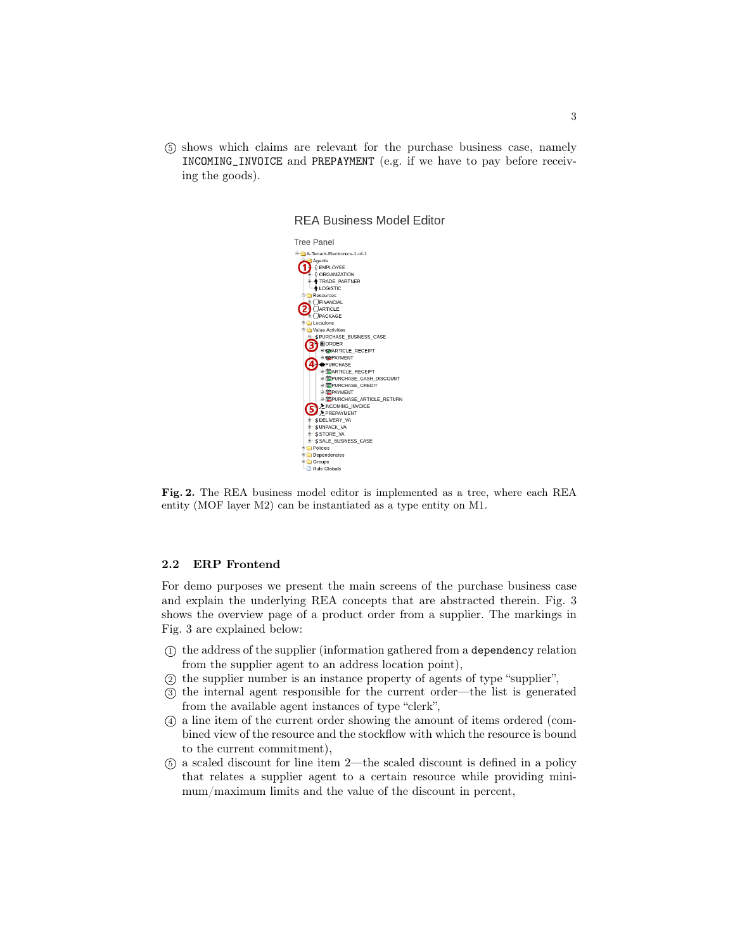<sup>5</sup> shows which claims are relevant for the purchase business case, namely INCOMING\_INVOICE and PREPAYMENT (e.g. if we have to pay before receiving the goods).



**REA Business Model Editor** 

<span id="page-2-0"></span>Fig. 2. The REA business model editor is implemented as a tree, where each REA entity (MOF layer M2) can be instantiated as a type entity on M1.

#### 2.2 ERP Frontend

For demo purposes we present the main screens of the purchase business case and explain the underlying REA concepts that are abstracted therein. Fig. [3](#page-3-0) shows the overview page of a product order from a supplier. The markings in Fig. [3](#page-3-0) are explained below:

- <sup>1</sup> the address of the supplier (information gathered from a dependency relation from the supplier agent to an address location point),
- <sup>2</sup> the supplier number is an instance property of agents of type "supplier",
- <sup>3</sup> the internal agent responsible for the current order—the list is generated from the available agent instances of type "clerk",
- <sup>4</sup> a line item of the current order showing the amount of items ordered (combined view of the resource and the stockflow with which the resource is bound to the current commitment),
- <sup>5</sup> a scaled discount for line item 2—the scaled discount is defined in a policy that relates a supplier agent to a certain resource while providing minimum/maximum limits and the value of the discount in percent,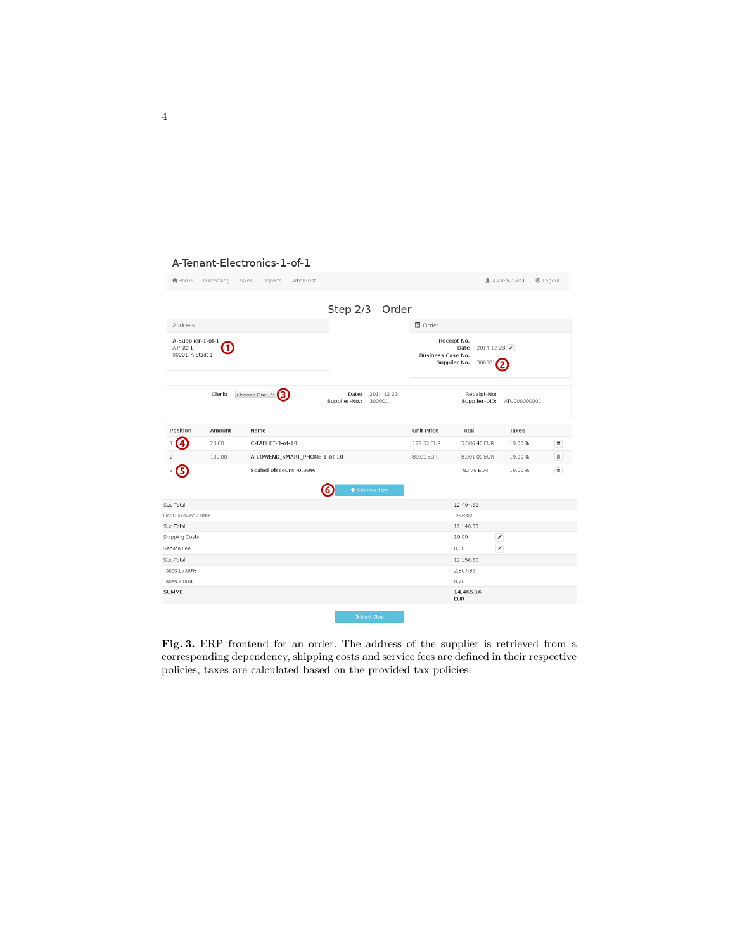#### A-Tenant-Electronics-1-of-1

| <b>合</b> Home                                           | Purchasing | Reports<br>Article List<br>Sales |                                                |                                                                                               |                              | A-Clerk-1-of-1 | <b><sup>⊙</sup></b> Logout |
|---------------------------------------------------------|------------|----------------------------------|------------------------------------------------|-----------------------------------------------------------------------------------------------|------------------------------|----------------|----------------------------|
|                                                         |            |                                  | Step 2/3 - Order                               |                                                                                               |                              |                |                            |
| Address                                                 |            |                                  |                                                | <b>■</b> Order                                                                                |                              |                |                            |
| A-Supplier-1-of-1<br>Ŧ<br>A-Platz 1<br>00001, A-Stadt-1 |            |                                  |                                                | Receipt No.<br>$2014 - 12 - 23$<br>Date<br><b>Business Case No.</b><br>Supplier No.<br>300001 |                              |                |                            |
|                                                         | Clerk:     | Choose One Y                     | Date:<br>2014-12-23<br>Supplier-No.:<br>300001 |                                                                                               | Receipt-No:<br>Supplier-UID: | ATU000000001   |                            |
| Position                                                | Amount     | Name                             |                                                | Unit Price                                                                                    | Total                        | Taxes          |                            |
| 4                                                       | 20.00      | C-TABLET-3-of-10                 |                                                | 179.32 EUR                                                                                    | 3,586.40 EUR                 | 19.00%         | û                          |
| 2                                                       | 100.00     | A-LOWEND_SMART_PHONE-1-of-10     |                                                | 89.01 EUR                                                                                     | 8,901.00 EUR                 | 19.00 %        | $\widehat{\mathbf{u}}$     |
| 5<br>З                                                  |            | Scaled Discount -0.93%           | Add row item<br>6                              |                                                                                               | -82.78 EUR                   | 19.00%         | 童                          |
| Sub-Total                                               |            |                                  |                                                |                                                                                               | 12,404.62                    |                |                            |
| List Discount 2.08%                                     |            |                                  |                                                |                                                                                               | $-258.02$                    |                |                            |
| Sub-Total                                               |            |                                  |                                                |                                                                                               | 12,146.60                    |                |                            |
| Shipping Costs                                          |            |                                  |                                                |                                                                                               | ↗<br>10.00                   |                |                            |
| Service Fee                                             |            |                                  |                                                |                                                                                               | ╭<br>0.00                    |                |                            |
| Sub-Total                                               |            |                                  |                                                |                                                                                               | 12.156.60                    |                |                            |
| Taxes 19.00%                                            |            |                                  |                                                |                                                                                               | 2,307.85                     |                |                            |
| Taxes 7.00%                                             |            |                                  |                                                |                                                                                               | 0.70                         |                |                            |
| <b>SUMME</b>                                            |            |                                  |                                                |                                                                                               | 14,465.16<br><b>EUR</b>      |                |                            |
|                                                         |            |                                  | > Next Step                                    |                                                                                               |                              |                |                            |

<span id="page-3-0"></span>Fig. 3. ERP frontend for an order. The address of the supplier is retrieved from a corresponding dependency, shipping costs and service fees are defined in their respective policies, taxes are calculated based on the provided tax policies.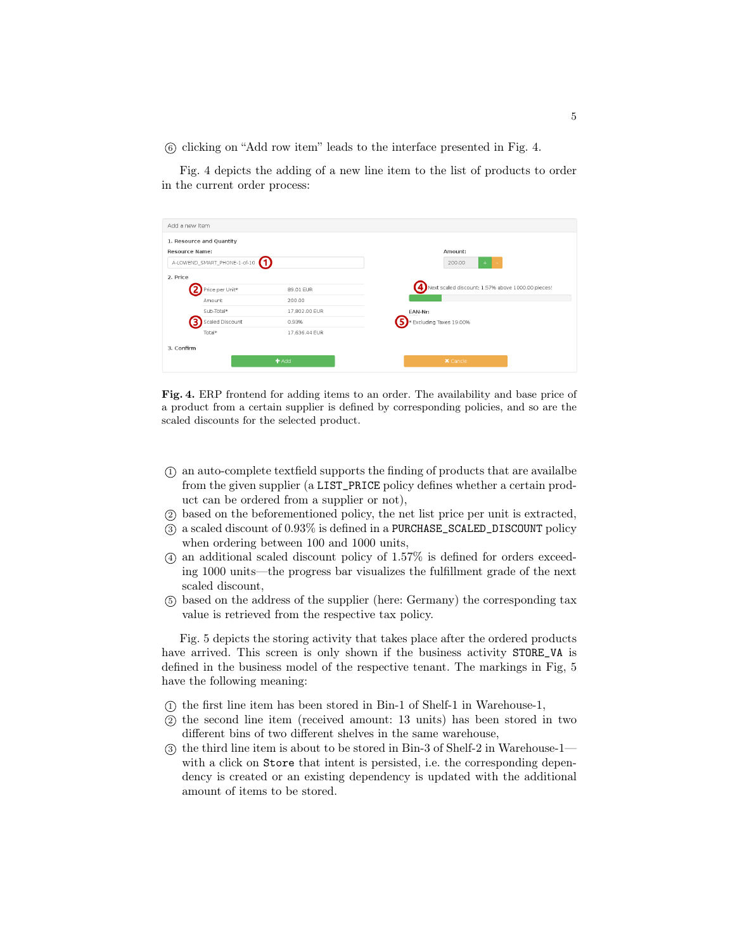<sup>6</sup> clicking on "Add row item" leads to the interface presented in Fig. [4.](#page-4-0)

Fig. [4](#page-4-0) depicts the adding of a new line item to the list of products to order in the current order process:

| Add a new Item        |                                                                         |                                         |                                                                     |
|-----------------------|-------------------------------------------------------------------------|-----------------------------------------|---------------------------------------------------------------------|
| <b>Resource Name:</b> | 1. Resource and Quantity<br>A-LOWEND_SMART_PHONE-1-of-10 <sup>(1)</sup> |                                         | Amount:<br>200.00                                                   |
| 2. Price              | Price per Unit*<br>Amount                                               | 89.01 EUR<br>200.00                     | $\left( 4\right)$ Next scaled discount: 1.57% above 1000.00 pieces! |
|                       | Sub-Total*<br>Scaled Discount<br>Total*                                 | 17,802.00 EUR<br>0.93%<br>17.636.44 EUR | EAN-Nr:<br>* Excluding Taxes 19.00%                                 |
| 3. Confirm            |                                                                         | Add                                     | <b>X</b> Cancle                                                     |

<span id="page-4-0"></span>Fig. 4. ERP frontend for adding items to an order. The availability and base price of a product from a certain supplier is defined by corresponding policies, and so are the scaled discounts for the selected product.

- $(1)$  an auto-complete textfield supports the finding of products that are available from the given supplier (a LIST\_PRICE policy defines whether a certain product can be ordered from a supplier or not),
- <sup>2</sup> based on the beforementioned policy, the net list price per unit is extracted,
- <sup>3</sup> a scaled discount of 0.93% is defined in a PURCHASE\_SCALED\_DISCOUNT policy when ordering between 100 and 1000 units,
- <sup>4</sup> an additional scaled discount policy of 1.57% is defined for orders exceeding 1000 units—the progress bar visualizes the fulfillment grade of the next scaled discount,
- <sup>5</sup> based on the address of the supplier (here: Germany) the corresponding tax value is retrieved from the respective tax policy.

Fig. [5](#page-5-4) depicts the storing activity that takes place after the ordered products have arrived. This screen is only shown if the business activity STORE\_VA is defined in the business model of the respective tenant. The markings in Fig, [5](#page-5-4) have the following meaning:

- <sup>1</sup> the first line item has been stored in Bin-1 of Shelf-1 in Warehouse-1,
- <sup>2</sup> the second line item (received amount: 13 units) has been stored in two different bins of two different shelves in the same warehouse,
- <sup>3</sup> the third line item is about to be stored in Bin-3 of Shelf-2 in Warehouse-1 with a click on Store that intent is persisted, i.e. the corresponding dependency is created or an existing dependency is updated with the additional amount of items to be stored.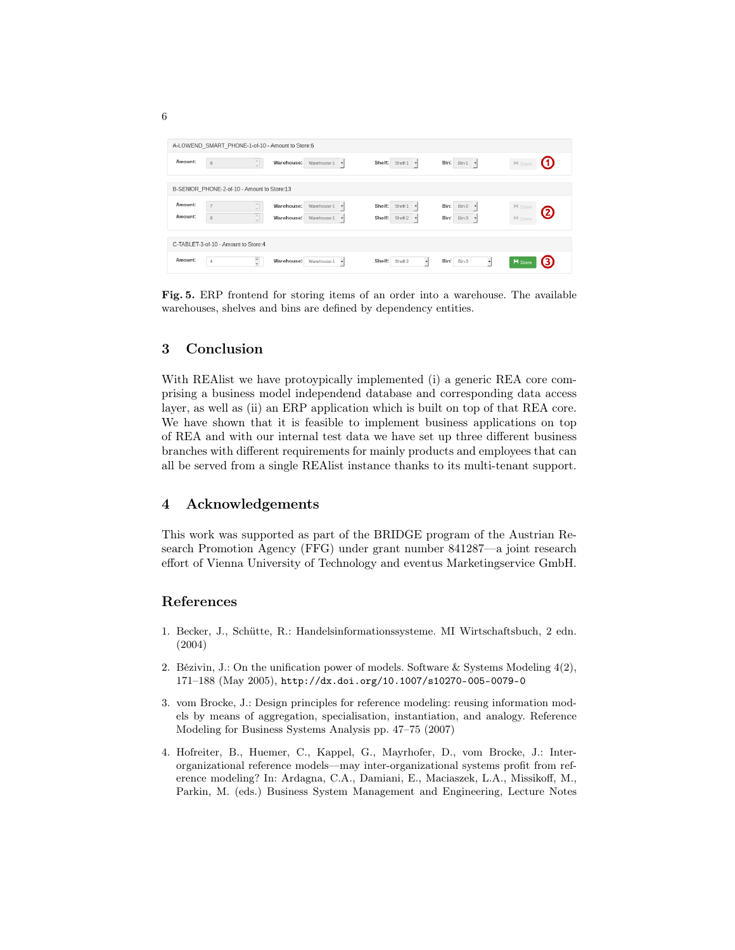| A-LOWEND_SMART_PHONE-1-of-10 - Amount to Store:6 |                                                       |                                                                                                                |                                                                         |                                                                               |                                 |  |  |  |
|--------------------------------------------------|-------------------------------------------------------|----------------------------------------------------------------------------------------------------------------|-------------------------------------------------------------------------|-------------------------------------------------------------------------------|---------------------------------|--|--|--|
| Amount:                                          | $\frac{1}{\sqrt{2}}$<br>6                             | Warehouse:<br>Warehouse-1<br>$\mathbf{r}$                                                                      | Shelf: Shelf-1<br>$\mathbf{r}$                                          | <b>Bin:</b> Bin-1 <b>v</b>                                                    | $H$ Store<br>w                  |  |  |  |
|                                                  | B-SENIOR PHONE-2-of-10 - Amount to Store:13           |                                                                                                                |                                                                         |                                                                               |                                 |  |  |  |
| Amount:<br>Amount:                               | $\frac{1}{2}$<br>$\overline{7}$<br>$\frac{1}{2}$<br>6 | Warehouse:<br>Warehouse-1<br>$\overline{\phantom{a}}$<br>Warehouse:<br>Warehouse-1<br>$\overline{\phantom{a}}$ | Shelf:<br>Shelf-1<br>×<br>Shelf:<br>Shelf-2<br>$\overline{\phantom{a}}$ | Bin:<br>$Bin-2$ $\blacktriangledown$<br>Bin:<br>$Bin-3$ $\blacktriangleright$ | H Store<br>2<br><b>II</b> Store |  |  |  |
| C-TABLET-3-of-10 - Amount to Store:4             |                                                       |                                                                                                                |                                                                         |                                                                               |                                 |  |  |  |
| Amount:                                          | $\hat{\cdot}$<br>4                                    | Warehouse:<br>Warehouse-1<br>$\mathbf{r}$                                                                      | Shelf:<br>Shelf-2<br>۰                                                  | Bin:<br>Bin-3                                                                 | <b>H</b> Store<br>(3)           |  |  |  |

<span id="page-5-4"></span>Fig. 5. ERP frontend for storing items of an order into a warehouse. The available warehouses, shelves and bins are defined by dependency entities.

# 3 Conclusion

With REAlist we have protoypically implemented (i) a generic REA core comprising a business model independend database and corresponding data access layer, as well as (ii) an ERP application which is built on top of that REA core. We have shown that it is feasible to implement business applications on top of REA and with our internal test data we have set up three different business branches with different requirements for mainly products and employees that can all be served from a single REAlist instance thanks to its multi-tenant support.

# 4 Acknowledgements

This work was supported as part of the BRIDGE program of the Austrian Research Promotion Agency (FFG) under grant number 841287—a joint research effort of Vienna University of Technology and eventus Marketingservice GmbH.

#### References

- <span id="page-5-3"></span>1. Becker, J., Schütte, R.: Handelsinformationssysteme. MI Wirtschaftsbuch, 2 edn. (2004)
- <span id="page-5-0"></span>2. Bézivin, J.: On the unification power of models. Software & Systems Modeling 4(2), 171–188 (May 2005), <http://dx.doi.org/10.1007/s10270-005-0079-0>
- <span id="page-5-2"></span>3. vom Brocke, J.: Design principles for reference modeling: reusing information models by means of aggregation, specialisation, instantiation, and analogy. Reference Modeling for Business Systems Analysis pp. 47–75 (2007)
- <span id="page-5-1"></span>4. Hofreiter, B., Huemer, C., Kappel, G., Mayrhofer, D., vom Brocke, J.: Interorganizational reference models—may inter-organizational systems profit from reference modeling? In: Ardagna, C.A., Damiani, E., Maciaszek, L.A., Missikoff, M., Parkin, M. (eds.) Business System Management and Engineering, Lecture Notes

6